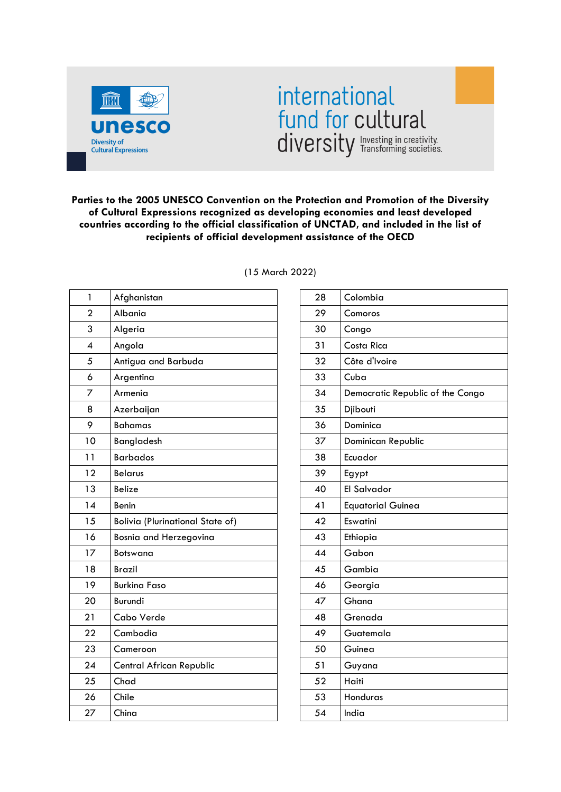

## international fund for cultural diversity Investing in creativity.

**Parties to the 2005 UNESCO Convention on the Protection and Promotion of the Diversity of Cultural Expressions recognized as developing economies and least developed countries according to the official classification of UNCTAD, and included in the list of recipients of official development assistance of the OECD**

| 1                        | Afghanistan                             |
|--------------------------|-----------------------------------------|
| $\overline{2}$           | Albania                                 |
| 3                        | Algeria                                 |
| $\overline{\mathcal{A}}$ | Angola                                  |
| 5                        | Antigua and Barbuda                     |
| 6                        | Argentina                               |
| 7                        | Armenia                                 |
| 8                        | Azerbaijan                              |
| 9                        | <b>Bahamas</b>                          |
| 10                       | Bangladesh                              |
| 11                       | <b>Barbados</b>                         |
| 12                       | <b>Belarus</b>                          |
| 13                       | <b>Belize</b>                           |
| 14                       | Benin                                   |
| 15                       | <b>Bolivia (Plurinational State of)</b> |
| 16                       | Bosnia and Herzegovina                  |
| 17                       | <b>Botswana</b>                         |
| 18                       | <b>Brazil</b>                           |
| 19                       | <b>Burkina Faso</b>                     |
| 20                       | Burundi                                 |
| 21                       | Cabo Verde                              |
| 22                       | Cambodia                                |
| 23                       | Cameroon                                |
| 24                       | Central African Republic                |
| 25                       | Chad                                    |
| 26                       | Chile                                   |
| 27                       | China                                   |

(15 March 2022)

| 28 | Colombia                         |
|----|----------------------------------|
| 29 | Comoros                          |
| 30 | Congo                            |
| 31 | Costa Rica                       |
| 32 | Côte d'Ivoire                    |
| 33 | Cuba                             |
| 34 | Democratic Republic of the Congo |
| 35 | Djibouti                         |
| 36 | Dominica                         |
| 37 | Dominican Republic               |
| 38 | Ecuador                          |
| 39 | Egypt                            |
| 40 | <b>El Salvador</b>               |
| 41 | <b>Equatorial Guinea</b>         |
| 42 | Eswatini                         |
| 43 | Ethiopia                         |
| 44 | Gabon                            |
| 45 | Gambia                           |
| 46 | Georgia                          |
| 47 | Ghana                            |
| 48 | Grenada                          |
| 49 | Guatemala                        |
| 50 | Guinea                           |
| 51 | Guyana                           |
| 52 | Haiti                            |
| 53 | Honduras                         |
| 54 | India                            |